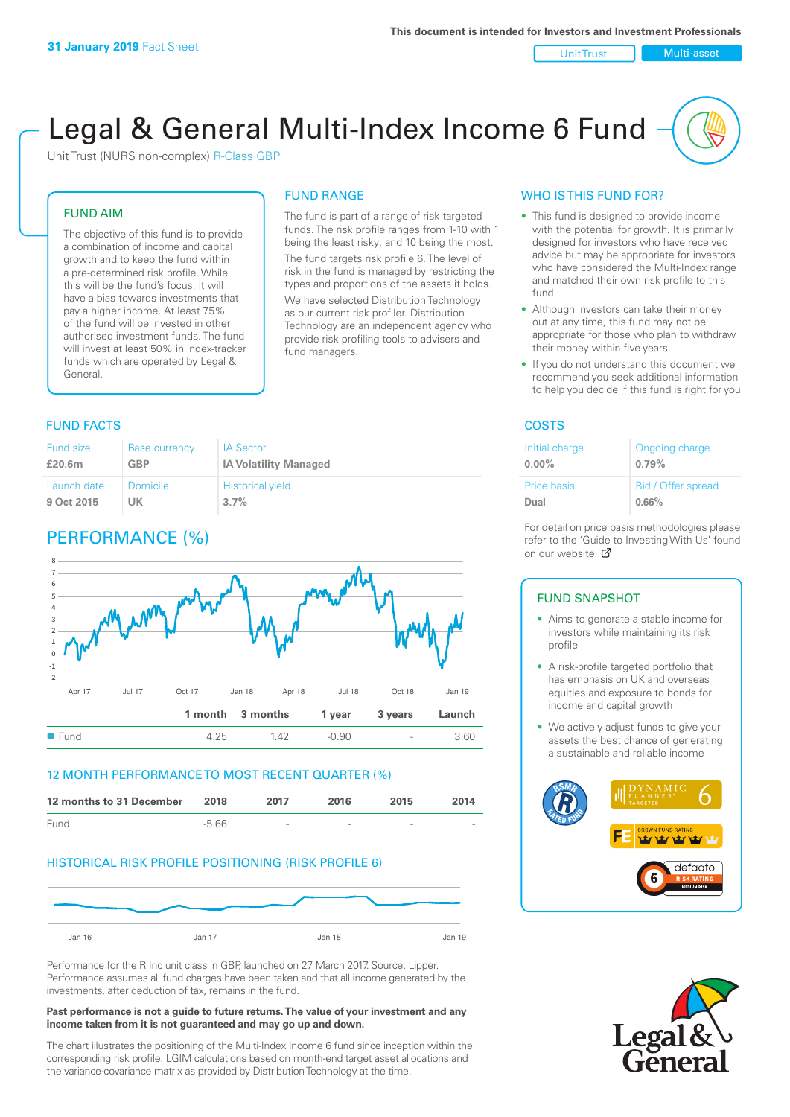Unit Trust Nulti-asset

# Legal & General Multi-Index Income 6 Fund

Unit Trust (NURS non-complex) R-Class GBP

#### FUND AIM

The objective of this fund is to provide a combination of income and capital growth and to keep the fund within a pre-determined risk profile. While this will be the fund's focus, it will have a bias towards investments that pay a higher income. At least 75% of the fund will be invested in other authorised investment funds. The fund will invest at least 50% in index-tracker funds which are operated by Legal & General.

# FUND RANGE

The fund is part of a range of risk targeted funds. The risk profile ranges from 1-10 with 1 being the least risky, and 10 being the most. The fund targets risk profile 6. The level of risk in the fund is managed by restricting the types and proportions of the assets it holds.

We have selected Distribution Technology as our current risk profiler. Distribution Technology are an independent agency who provide risk profiling tools to advisers and fund managers.

#### **FUND FACTS** COSTS

| <b>Fund size</b> | <b>Base currency</b> | <b>IA Sector</b>             |
|------------------|----------------------|------------------------------|
| £20.6m           | GBP                  | <b>IA Volatility Managed</b> |
| Launch date      | Domicile             | <b>Historical yield</b>      |
| 9 Oct 2015       | UK                   | $3.7\%$                      |

# PERFORMANCE (%)



#### 12 MONTH PERFORMANCE TO MOST RECENT QUARTER (%)



#### HISTORICAL RISK PROFILE POSITIONING (RISK PROFILE 6)



Performance for the R Inc unit class in GBP, launched on 27 March 2017. Source: Lipper. Performance assumes all fund charges have been taken and that all income generated by the investments, after deduction of tax, remains in the fund.

#### **Past performance is not a guide to future returns. The value of your investment and any income taken from it is not guaranteed and may go up and down.**

The chart illustrates the positioning of the Multi-Index Income 6 fund since inception within the corresponding risk profile. LGIM calculations based on month-end target asset allocations and the variance-covariance matrix as provided by Distribution Technology at the time.

#### WHO IS THIS FUND FOR?

- This fund is designed to provide income with the potential for growth. It is primarily designed for investors who have received advice but may be appropriate for investors who have considered the Multi-Index range and matched their own risk profile to this fund
- Although investors can take their money out at any time, this fund may not be appropriate for those who plan to withdraw their money within five years
- If you do not understand this document we recommend you seek additional information to help you decide if this fund is right for you

| Initial charge | Ongoing charge     |
|----------------|--------------------|
| $0.00\%$       | 0.79%              |
| Price basis    | Bid / Offer spread |
| Dual           | 0.66%              |

For detail on price basis methodologies please refer to the 'Gu[ide t](http://www.legalandgeneral.com/guide)o Investing With Us' found on our website. Ø

#### FUND SNAPSHOT

- Aims to generate a stable income for investors while maintaining its risk profile
- A risk-profile targeted portfolio that has emphasis on UK and overseas equities and exposure to bonds for income and capital growth
- We actively adjust funds to give your assets the best chance of generating a sustainable and reliable income



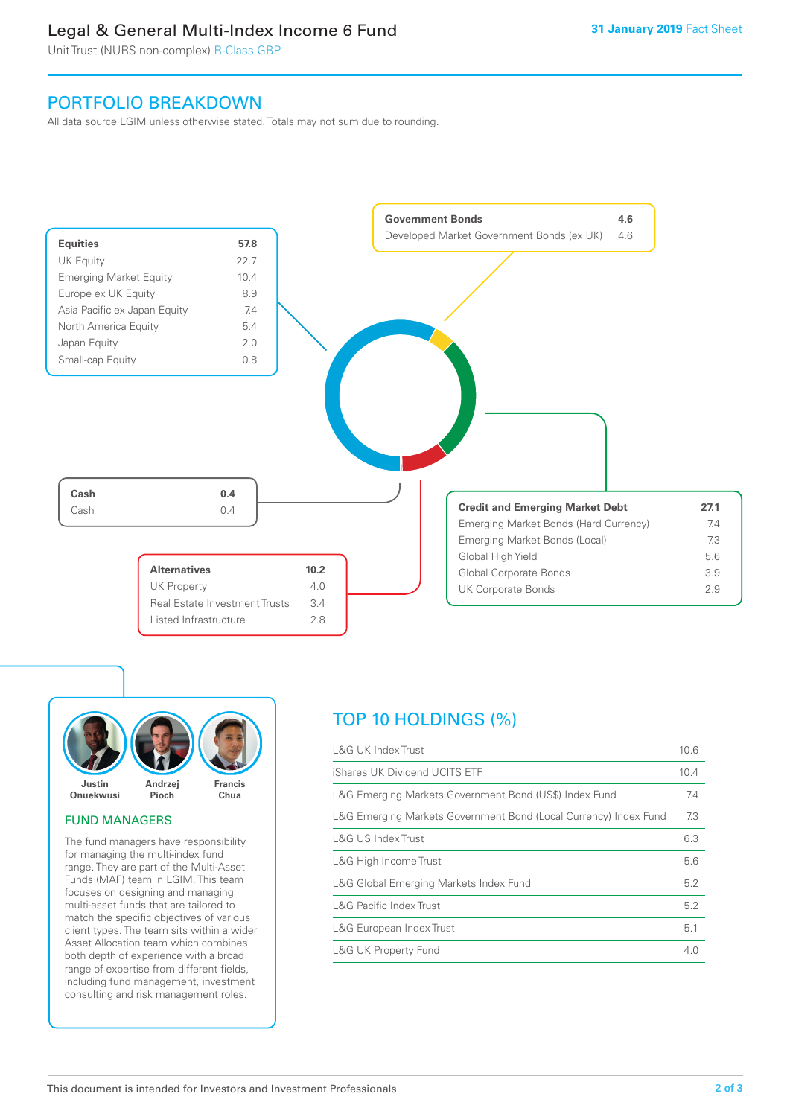## Legal & General Multi-Index Income 6 Fund

Unit Trust (NURS non-complex) R-Class GBP

## PORTFOLIO BREAKDOWN

All data source LGIM unless otherwise stated. Totals may not sum due to rounding.





#### FUND MANAGERS

The fund managers have responsibility for managing the multi-index fund range. They are part of the Multi-Asset Funds (MAF) team in LGIM. This team focuses on designing and managing multi-asset funds that are tailored to match the specific objectives of various client types. The team sits within a wider Asset Allocation team which combines both depth of experience with a broad range of expertise from different fields, including fund management, investment consulting and risk management roles.

# TOP 10 HOLDINGS (%)

| <b>L&amp;G UK Index Trust</b>                                    | 10.6 |
|------------------------------------------------------------------|------|
| iShares UK Dividend UCITS ETF                                    | 10.4 |
| L&G Emerging Markets Government Bond (US\$) Index Fund           | 7.4  |
| L&G Emerging Markets Government Bond (Local Currency) Index Fund | 7.3  |
| L&G US Index Trust                                               | 6.3  |
| L&G High Income Trust                                            | 5.6  |
| L&G Global Emerging Markets Index Fund                           | 5.2  |
| <b>L&amp;G Pacific Index Trust</b>                               | 5.2  |
| L&G European Index Trust                                         | 5.1  |
| <b>L&amp;G UK Property Fund</b>                                  | 4.0  |